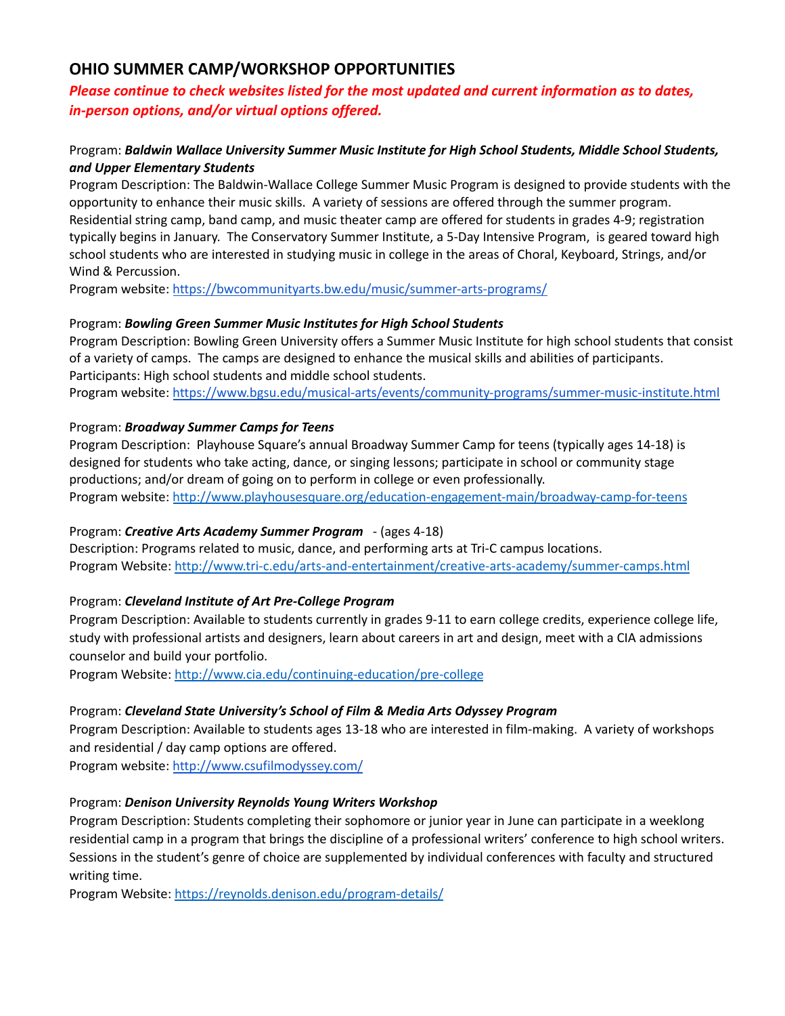# **OHIO SUMMER CAMP/WORKSHOP OPPORTUNITIES**

# *Please continue to check websites listed for the most updated and current information as to dates, in-person options, and/or virtual options offered.*

# Program: *Baldwin Wallace University Summer Music Institute for High School Students, Middle School Students, and Upper Elementary Students*

Program Description: The Baldwin-Wallace College Summer Music Program is designed to provide students with the opportunity to enhance their music skills. A variety of sessions are offered through the summer program. Residential string camp, band camp, and music theater camp are offered for students in grades 4-9; registration typically begins in January. The Conservatory Summer Institute, a 5-Day Intensive Program, is geared toward high school students who are interested in studying music in college in the areas of Choral, Keyboard, Strings, and/or Wind & Percussion.

Program website: https://bwcommunityarts.bw.edu/music/summer-arts-programs/

# Program: *Bowling Green Summer Music Institutes for High School Students*

Program Description: Bowling Green University offers a Summer Music Institute for high school students that consist of a variety of camps. The camps are designed to enhance the musical skills and abilities of participants. Participants: High school students and middle school students.

Program website: https://www.bgsu.edu/musical-arts/events/community-programs/summer-music-institute.html

# Program: *Broadway Summer Camps for Teens*

Program Description: Playhouse Square's annual Broadway Summer Camp for teens (typically ages 14-18) is designed for students who take acting, dance, or singing lessons; participate in school or community stage productions; and/or dream of going on to perform in college or even professionally. Program website: http://www.playhousesquare.org/education-engagement-main/broadway-camp-for-teens

# Program: *Creative Arts Academy Summer Program* - (ages 4-18)

Description: Programs related to music, dance, and performing arts at Tri-C campus locations. Program Website: http://www.tri-c.edu/arts-and-entertainment/creative-arts-academy/summer-camps.html

# Program: *Cleveland Institute of Art Pre-College Program*

Program Description: Available to students currently in grades 9-11 to earn college credits, experience college life, study with professional artists and designers, learn about careers in art and design, meet with a CIA admissions counselor and build your portfolio.

Program Website: http://www.cia.edu/continuing-education/pre-college

# Program: *Cleveland State University's School of Film & Media Arts Odyssey Program*

Program Description: Available to students ages 13-18 who are interested in film-making. A variety of workshops and residential / day camp options are offered.

Program website: http://www.csufilmodyssey.com/

# Program: *Denison University Reynolds Young Writers Workshop*

Program Description: Students completing their sophomore or junior year in June can participate in a weeklong residential camp in a program that brings the discipline of a professional writers' conference to high school writers. Sessions in the student's genre of choice are supplemented by individual conferences with faculty and structured writing time.

Program Website: https://reynolds.denison.edu/program-details/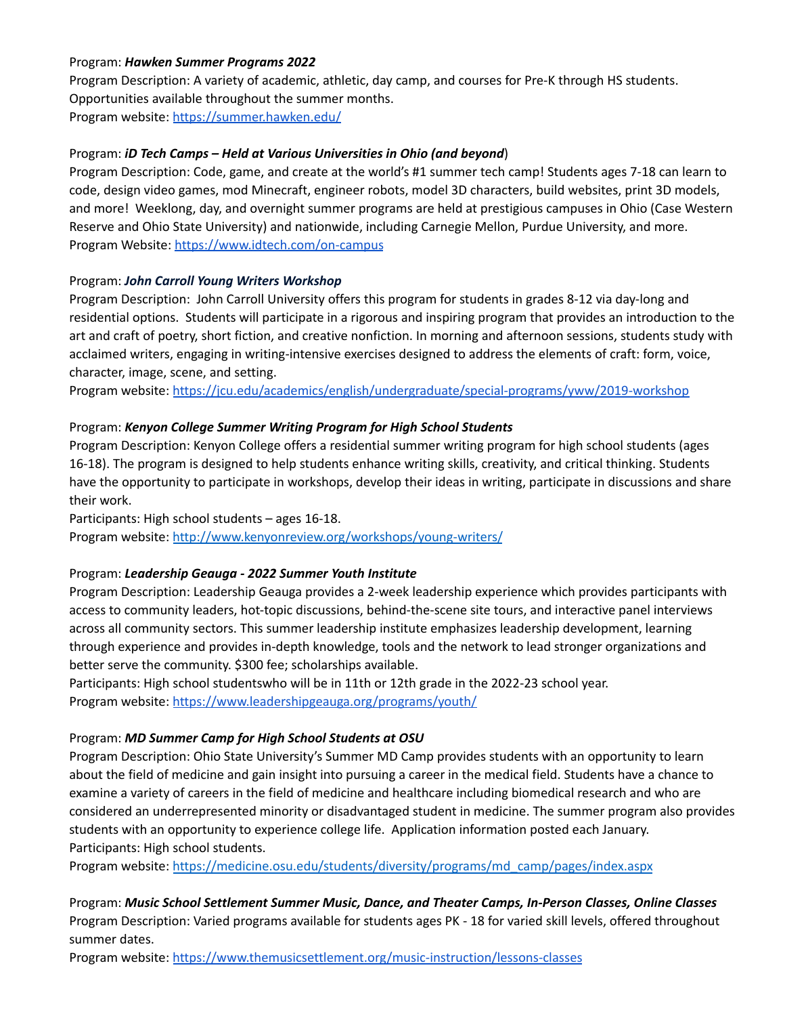### Program: *Hawken Summer Programs 2022*

Program Description: A variety of academic, athletic, day camp, and courses for Pre-K through HS students. Opportunities available throughout the summer months. Program website: https://summer.hawken.edu/

### Program: *iD Tech Camps – Held at Various Universities in Ohio (and beyond*)

Program Description: Code, game, and create at the world's #1 summer tech camp! Students ages 7-18 can learn to code, design video games, mod Minecraft, engineer robots, model 3D characters, build websites, print 3D models, and more! Weeklong, day, and overnight summer programs are held at prestigious campuses in Ohio (Case Western Reserve and Ohio State University) and nationwide, including Carnegie Mellon, Purdue University, and more. Program Website: https://www.idtech.com/on-campus

#### Program: *John Carroll Young Writers Workshop*

Program Description: John Carroll University offers this program for students in grades 8-12 via day-long and residential options. Students will participate in a rigorous and inspiring program that provides an introduction to the art and craft of poetry, short fiction, and creative nonfiction. In morning and afternoon sessions, students study with acclaimed writers, engaging in writing-intensive exercises designed to address the elements of craft: form, voice, character, image, scene, and setting.

Program website: https://jcu.edu/academics/english/undergraduate/special-programs/yww/2019-workshop

#### Program: *Kenyon College Summer Writing Program for High School Students*

Program Description: Kenyon College offers a residential summer writing program for high school students (ages 16-18). The program is designed to help students enhance writing skills, creativity, and critical thinking. Students have the opportunity to participate in workshops, develop their ideas in writing, participate in discussions and share their work.

Participants: High school students – ages 16-18.

Program website: http://www.kenyonreview.org/workshops/young-writers/

#### Program: *Leadership Geauga - 2022 Summer Youth Institute*

Program Description: Leadership Geauga provides a 2-week leadership experience which provides participants with access to community leaders, hot-topic discussions, behind-the-scene site tours, and interactive panel interviews across all community sectors. This summer leadership institute emphasizes leadership development, learning through experience and provides in-depth knowledge, tools and the network to lead stronger organizations and better serve the community. \$300 fee; scholarships available.

Participants: High school studentswho will be in 11th or 12th grade in the 2022-23 school year. Program website: https://www.leadershipgeauga.org/programs/youth/

#### Program: *MD Summer Camp for High School Students at OSU*

Program Description: Ohio State University's Summer MD Camp provides students with an opportunity to learn about the field of medicine and gain insight into pursuing a career in the medical field. Students have a chance to examine a variety of careers in the field of medicine and healthcare including biomedical research and who are considered an underrepresented minority or disadvantaged student in medicine. The summer program also provides students with an opportunity to experience college life. Application information posted each January. Participants: High school students.

Program website: https://medicine.osu.edu/students/diversity/programs/md\_camp/pages/index.aspx

Program: *Music School Settlement Summer Music, Dance, and Theater Camps, In-Person Classes, Online Classes* Program Description: Varied programs available for students ages PK - 18 for varied skill levels, offered throughout summer dates.

Program website: https://www.themusicsettlement.org/music-instruction/lessons-classes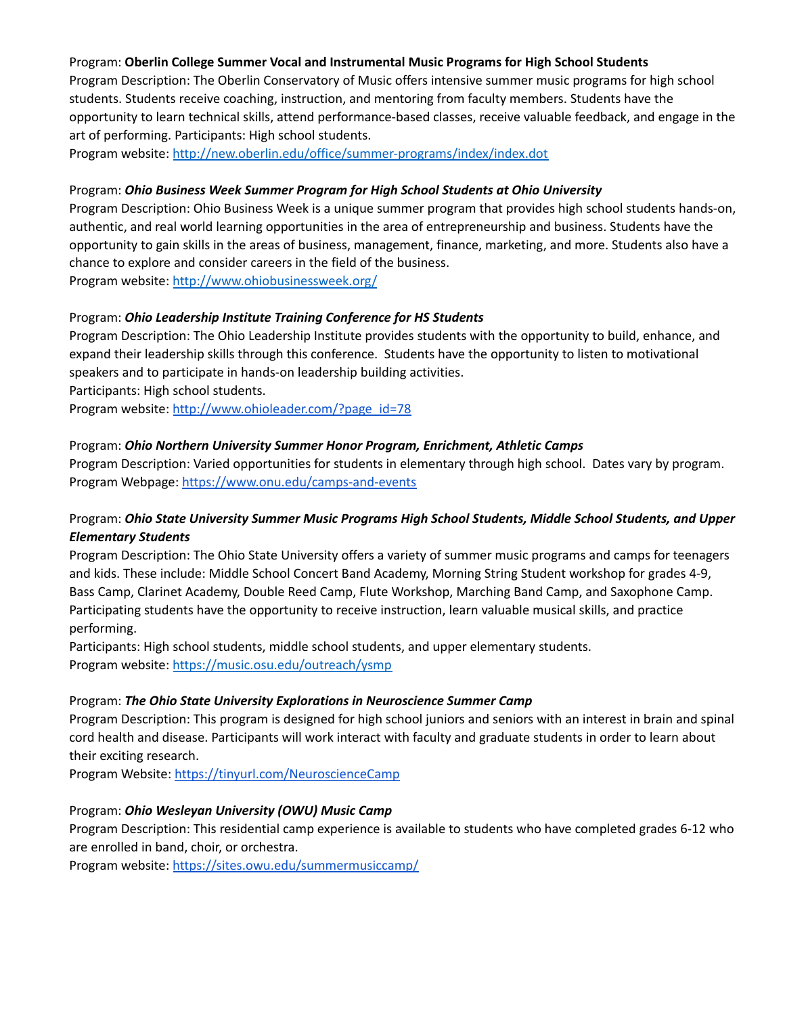#### Program: **Oberlin College Summer Vocal and Instrumental Music Programs for High School Students**

Program Description: The Oberlin Conservatory of Music offers intensive summer music programs for high school students. Students receive coaching, instruction, and mentoring from faculty members. Students have the opportunity to learn technical skills, attend performance-based classes, receive valuable feedback, and engage in the art of performing. Participants: High school students.

Program website: http://new.oberlin.edu/office/summer-programs/index/index.dot

#### Program: *Ohio Business Week Summer Program for High School Students at Ohio University*

Program Description: Ohio Business Week is a unique summer program that provides high school students hands-on, authentic, and real world learning opportunities in the area of entrepreneurship and business. Students have the opportunity to gain skills in the areas of business, management, finance, marketing, and more. Students also have a chance to explore and consider careers in the field of the business. Program website: http://www.ohiobusinessweek.org/

# Program: *Ohio Leadership Institute Training Conference for HS Students*

Program Description: The Ohio Leadership Institute provides students with the opportunity to build, enhance, and expand their leadership skills through this conference. Students have the opportunity to listen to motivational speakers and to participate in hands-on leadership building activities.

Participants: High school students.

Program website: http://www.ohioleader.com/?page\_id=78

#### Program: *Ohio Northern University Summer Honor Program, Enrichment, Athletic Camps*

Program Description: Varied opportunities for students in elementary through high school. Dates vary by program. Program Webpage: https://www.onu.edu/camps-and-events

# Program: *Ohio State University Summer Music Programs High School Students, Middle School Students, and Upper Elementary Students*

Program Description: The Ohio State University offers a variety of summer music programs and camps for teenagers and kids. These include: Middle School Concert Band Academy, Morning String Student workshop for grades 4-9, Bass Camp, Clarinet Academy, Double Reed Camp, Flute Workshop, Marching Band Camp, and Saxophone Camp. Participating students have the opportunity to receive instruction, learn valuable musical skills, and practice performing.

Participants: High school students, middle school students, and upper elementary students. Program website: https://music.osu.edu/outreach/ysmp

#### Program: *The Ohio State University Explorations in Neuroscience Summer Camp*

Program Description: This program is designed for high school juniors and seniors with an interest in brain and spinal cord health and disease. Participants will work interact with faculty and graduate students in order to learn about their exciting research.

Program Website: https://tinyurl.com/NeuroscienceCamp

# Program: *Ohio Wesleyan University (OWU) Music Camp*

Program Description: This residential camp experience is available to students who have completed grades 6-12 who are enrolled in band, choir, or orchestra.

Program website: https://sites.owu.edu/summermusiccamp/